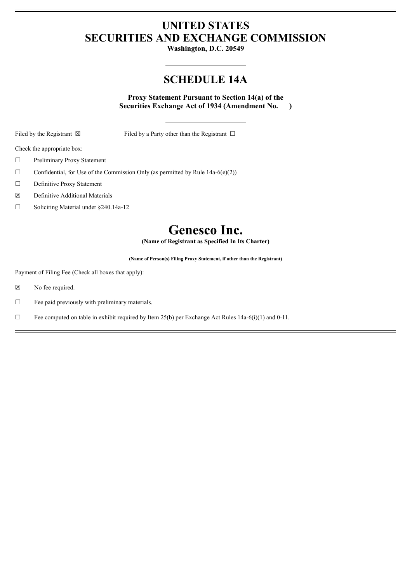# **UNITED STATES SECURITIES AND EXCHANGE COMMISSION**

**Washington, D.C. 20549**

# **SCHEDULE 14A**

**Proxy Statement Pursuant to Section 14(a) of the Securities Exchange Act of 1934 (Amendment No. )**

Filed by the Registrant  $\boxtimes$  Filed by a Party other than the Registrant  $\Box$ 

Check the appropriate box:

- ☐ Preliminary Proxy Statement
- $\Box$  Confidential, for Use of the Commission Only (as permitted by Rule 14a-6(e)(2))
- ☐ Definitive Proxy Statement
- ☒ Definitive Additional Materials
- ☐ Soliciting Material under §240.14a-12

# **Genesco Inc.**

**(Name of Registrant as Specified In Its Charter)**

**(Name of Person(s) Filing Proxy Statement, if other than the Registrant)**

Payment of Filing Fee (Check all boxes that apply):

☒ No fee required.

 $\Box$  Fee paid previously with preliminary materials.

 $\Box$  Fee computed on table in exhibit required by Item 25(b) per Exchange Act Rules 14a-6(i)(1) and 0-11.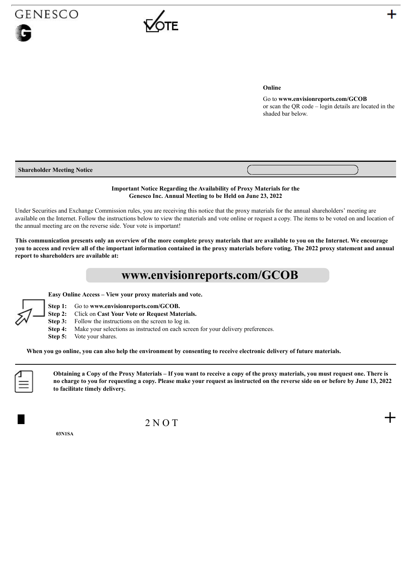

## **Online**

Go to **www.envisionreports.com/GCOB** or scan the QR code – login details are located in the shaded bar below.

| <b>Shareholder Meeting Notice</b> |  |
|-----------------------------------|--|
|                                   |  |

## **Important Notice Regarding the Availability of Proxy Materials for the Genesco Inc. Annual Meeting to be Held on June 23, 2022**

Under Securities and Exchange Commission rules, you are receiving this notice that the proxy materials for the annual shareholders' meeting are available on the Internet. Follow the instructions below to view the materials and vote online or request a copy. The items to be voted on and location of the annual meeting are on the reverse side. Your vote is important!

This communication presents only an overview of the more complete proxy materials that are available to you on the Internet. We encourage you to access and review all of the important information contained in the proxy materials before voting. The 2022 proxy statement and annual **report to shareholders are available at:**

# **www.envisionreports.com/GCOB**

**Easy Online Access – View your proxy materials and vote.**



- **Step 1:** Go to **www.envisionreports.com/GCOB.**
- **Step 2:** Click on **Cast Your Vote or Request Materials.**
- **Step 3:** Follow the instructions on the screen to log in.
- **Step 4:** Make your selections as instructed on each screen for your delivery preferences.
- **Step 5:** Vote your shares.

When you go online, you can also help the environment by consenting to receive electronic delivery of future materials.



Obtaining a Copy of the Proxy Materials - If you want to receive a copy of the proxy materials, you must request one. There is no charge to you for requesting a copy. Please make your request as instructed on the reverse side on or before by June 13, 2022 **to facilitate timely delivery.**

 $2NOT$  +

**03N1SA**